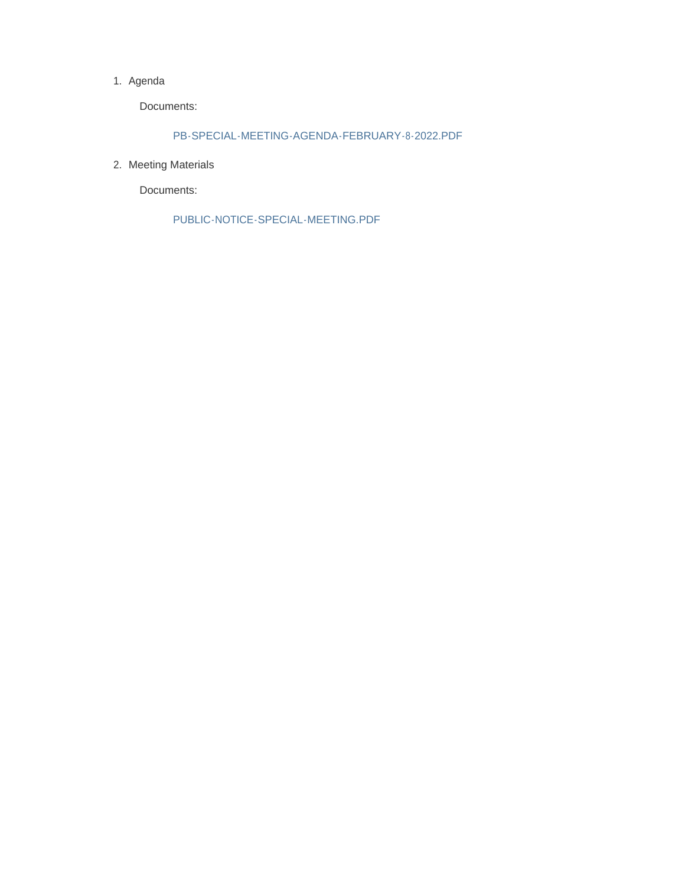### 1. Agenda

Documents:

## PB-SPECIAL-MEETING-AGENDA-FEBRUARY-8-2022.PDF

2. Meeting Materials

Documents:

PUBLIC-NOTICE-SPECIAL-MEETING.PDF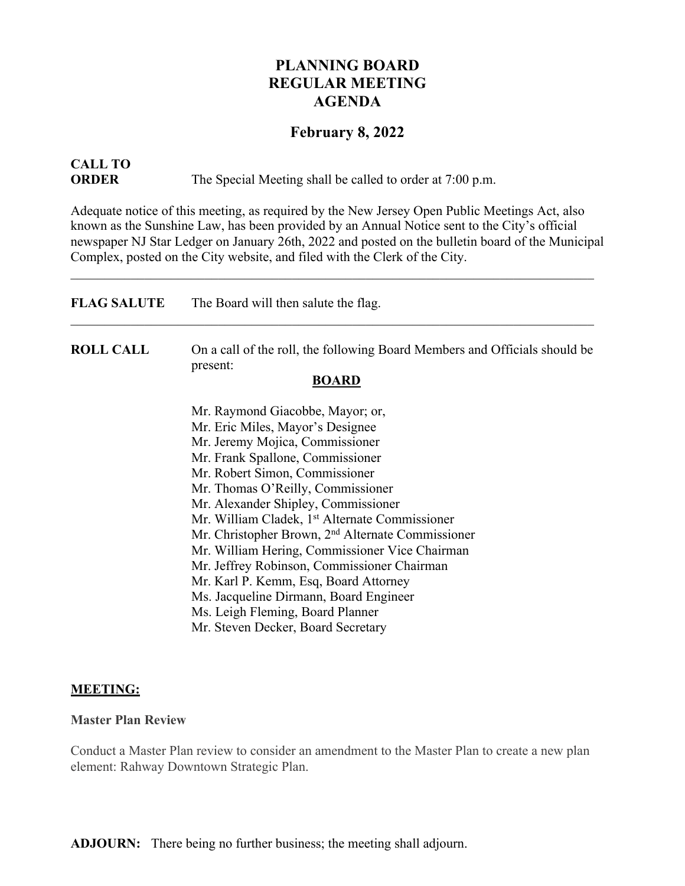## **PLANNING BOARD REGULAR MEETING AGENDA**

## **February 8, 2022**

# **CALL TO**

**ORDER** The Special Meeting shall be called to order at 7:00 p.m.

Adequate notice of this meeting, as required by the New Jersey Open Public Meetings Act, also known as the Sunshine Law, has been provided by an Annual Notice sent to the City's official newspaper NJ Star Ledger on January 26th, 2022 and posted on the bulletin board of the Municipal Complex, posted on the City website, and filed with the Clerk of the City.

| <b>FLAG SALUTE</b> | The Board will then salute the flag.                                                   |
|--------------------|----------------------------------------------------------------------------------------|
| <b>ROLL CALL</b>   | On a call of the roll, the following Board Members and Officials should be<br>present: |
|                    | <b>BOARD</b>                                                                           |
|                    | Mr. Raymond Giacobbe, Mayor; or,                                                       |
|                    | Mr. Eric Miles, Mayor's Designee                                                       |
|                    | Mr. Jeremy Mojica, Commissioner                                                        |
|                    | Mr. Frank Spallone, Commissioner                                                       |
|                    | Mr. Robert Simon, Commissioner                                                         |
|                    | Mr. Thomas O'Reilly, Commissioner                                                      |
|                    | Mr. Alexander Shipley, Commissioner                                                    |
|                    | Mr. William Cladek, 1 <sup>st</sup> Alternate Commissioner                             |
|                    | Mr. Christopher Brown, 2 <sup>nd</sup> Alternate Commissioner                          |
|                    | Mr. William Hering, Commissioner Vice Chairman                                         |
|                    | Mr. Jeffrey Robinson, Commissioner Chairman                                            |
|                    | Mr. Karl P. Kemm, Esq, Board Attorney                                                  |
|                    | Ms. Jacqueline Dirmann, Board Engineer                                                 |
|                    | Ms. Leigh Fleming, Board Planner                                                       |
|                    | Mr. Steven Decker, Board Secretary                                                     |

## **MEETING:**

## **Master Plan Review**

Conduct a Master Plan review to consider an amendment to the Master Plan to create a new plan element: Rahway Downtown Strategic Plan.